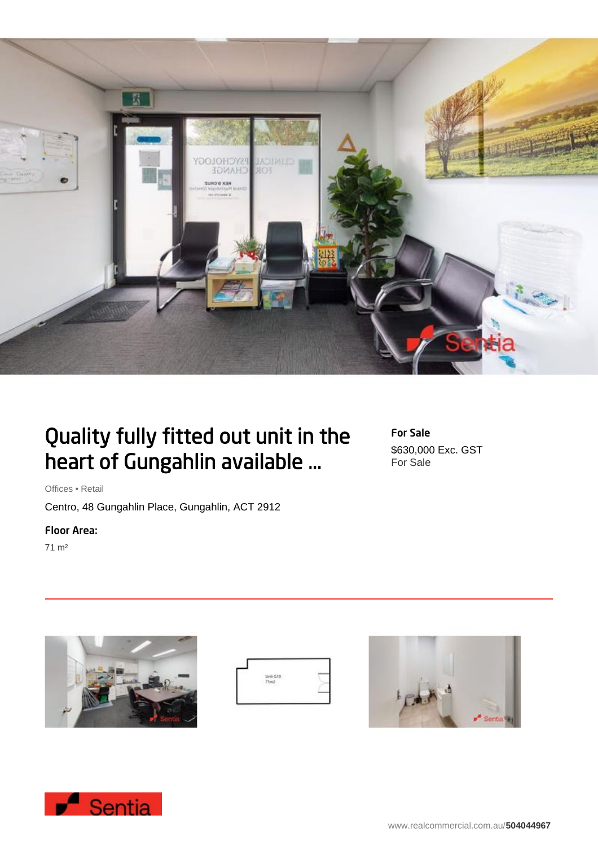

# Quality fully fitted out unit in the heart of Gungahlin available ...

Offices • Retail

Centro, 48 Gungahlin Place, Gungahlin, ACT 2912

## Floor Area:

71 m²







For Sale

For Sale

\$630,000 Exc. GST